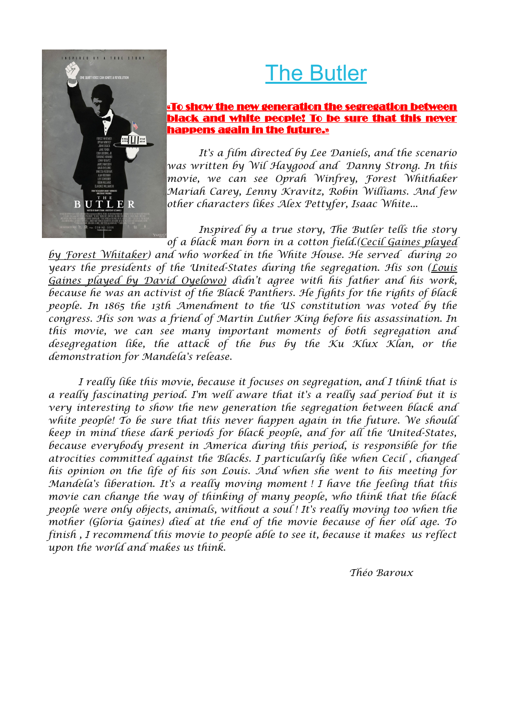## The Butler



*It's a film directed by Lee Daniels, and the scenario was written by Wil Haygood and Danny Strong. In this movie, we can see Oprah Winfrey, Forest Whithaker Mariah Carey, Lenny Kravitz, Robin Williams. And few other characters likes Alex Pettyfer, Isaac White...*

*Inspired by a true story, The Butler tells the story of a black man born in a cotton field.(Cecil Gaines played*

*by Forest Whitaker) and who worked in the White House. He served during 20 years the presidents of the United-States during the segregation. His son (Louis Gaines played by David Oyelowo) didn't agree with his father and his work, because he was an activist of the Black Panthers. He fights for the rights of black people. In 1865 the 13th Amendment to the US constitution was voted by the congress. His son was a friend of Martin Luther King before his assassination. In this movie, we can see many important moments of both segregation and desegregation like, the attack of the bus by the Ku Klux Klan, or the demonstration for Mandela's release.*

.<br>NSPIRED BY A TRUE STORY

BUTLER

**Balling** 

*I really like this movie, because it focuses on segregation, and I think that is a really fascinating period. I'm well aware that it's a really sad period but it is very interesting to show the new generation the segregation between black and white people! To be sure that this never happen again in the future. We should keep in mind these dark periods for black people, and for all the United-States, because everybody present in America during this period, is responsible for the atrocities committed against the Blacks. I particularly like when Cecil , changed his opinion on the life of his son Louis. And when she went to his meeting for Mandela's liberation. It's a really moving moment ! I have the feeling that this movie can change the way of thinking of many people, who think that the black people were only objects, animals, without a soul ! It's really moving too when the mother (Gloria Gaines) died at the end of the movie because of her old age. To finish , I recommend this movie to people able to see it, because it makes us reflect upon the world and makes us think.*

*Théo Baroux*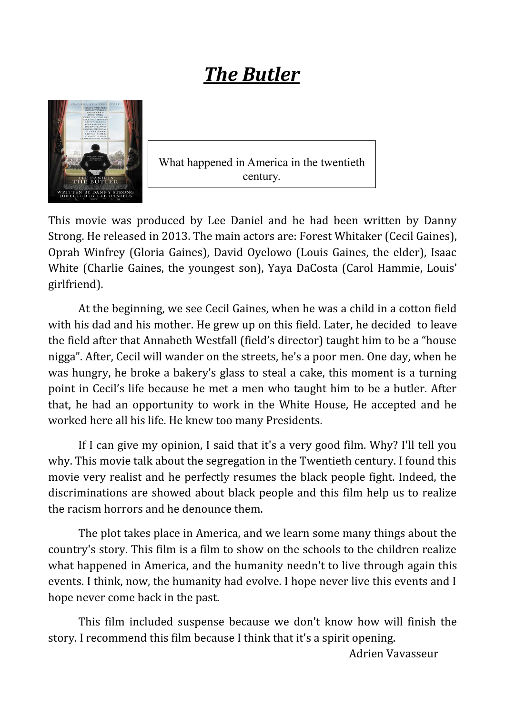## *The Butler*



What happened in America in the twentieth century.

This movie was produced by Lee Daniel and he had been written by Danny Strong. He released in 2013. The main actors are: Forest Whitaker (Cecil Gaines), Oprah Winfrey (Gloria Gaines), David Oyelowo (Louis Gaines, the elder), Isaac White (Charlie Gaines, the youngest son), Yaya DaCosta (Carol Hammie, Louis' girlfriend).

At the beginning, we see Cecil Gaines, when he was a child in a cotton field with his dad and his mother. He grew up on this field. Later, he decided to leave the field after that Annabeth Westfall (field's director) taught him to be a "house nigga". After, Cecil will wander on the streets, he's a poor men. One day, when he was hungry, he broke a bakery's glass to steal a cake, this moment is a turning point in Cecil's life because he met a men who taught him to be a butler. After that, he had an opportunity to work in the White House, He accepted and he worked here all his life. He knew too many Presidents.

If I can give my opinion, I said that it's a very good film. Why? I'll tell you why. This movie talk about the segregation in the Twentieth century. I found this movie very realist and he perfectly resumes the black people fight. Indeed, the discriminations are showed about black people and this film help us to realize the racism horrors and he denounce them.

The plot takes place in America, and we learn some many things about the country's story. This film is a film to show on the schools to the children realize what happened in America, and the humanity needn't to live through again this events. I think, now, the humanity had evolve. I hope never live this events and I hope never come back in the past.

This film included suspense because we don't know how will finish the story. I recommend this film because I think that it's a spirit opening.